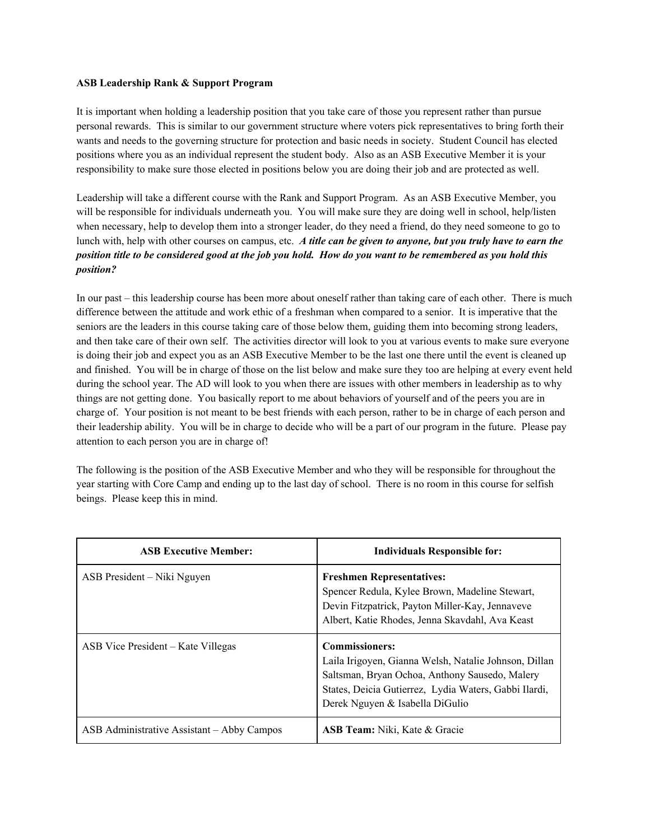## **ASB Leadership Rank & Support Program**

It is important when holding a leadership position that you take care of those you represent rather than pursue personal rewards. This is similar to our government structure where voters pick representatives to bring forth their wants and needs to the governing structure for protection and basic needs in society. Student Council has elected positions where you as an individual represent the student body. Also as an ASB Executive Member it is your responsibility to make sure those elected in positions below you are doing their job and are protected as well.

Leadership will take a different course with the Rank and Support Program. As an ASB Executive Member, you will be responsible for individuals underneath you. You will make sure they are doing well in school, help/listen when necessary, help to develop them into a stronger leader, do they need a friend, do they need someone to go to lunch with, help with other courses on campus, etc. *A title can be given to anyone, but you truly have to earn the* position title to be considered good at the job you hold. How do you want to be remembered as you hold this *position?*

In our past – this leadership course has been more about oneself rather than taking care of each other. There is much difference between the attitude and work ethic of a freshman when compared to a senior. It is imperative that the seniors are the leaders in this course taking care of those below them, guiding them into becoming strong leaders, and then take care of their own self. The activities director will look to you at various events to make sure everyone is doing their job and expect you as an ASB Executive Member to be the last one there until the event is cleaned up and finished. You will be in charge of those on the list below and make sure they too are helping at every event held during the school year. The AD will look to you when there are issues with other members in leadership as to why things are not getting done. You basically report to me about behaviors of yourself and of the peers you are in charge of. Your position is not meant to be best friends with each person, rather to be in charge of each person and their leadership ability. You will be in charge to decide who will be a part of our program in the future. Please pay attention to each person you are in charge of!

The following is the position of the ASB Executive Member and who they will be responsible for throughout the year starting with Core Camp and ending up to the last day of school. There is no room in this course for selfish beings. Please keep this in mind.

| <b>ASB Executive Member:</b>               | <b>Individuals Responsible for:</b>                                                                                                                                                                                          |
|--------------------------------------------|------------------------------------------------------------------------------------------------------------------------------------------------------------------------------------------------------------------------------|
| ASB President – Niki Nguyen                | <b>Freshmen Representatives:</b><br>Spencer Redula, Kylee Brown, Madeline Stewart,<br>Devin Fitzpatrick, Payton Miller-Kay, Jennaveve<br>Albert, Katie Rhodes, Jenna Skavdahl, Ava Keast                                     |
| ASB Vice President – Kate Villegas         | <b>Commissioners:</b><br>Laila Irigoyen, Gianna Welsh, Natalie Johnson, Dillan<br>Saltsman, Bryan Ochoa, Anthony Sausedo, Malery<br>States, Deicia Gutierrez, Lydia Waters, Gabbi Ilardi,<br>Derek Nguyen & Isabella DiGulio |
| ASB Administrative Assistant – Abby Campos | <b>ASB Team:</b> Niki, Kate & Gracie                                                                                                                                                                                         |